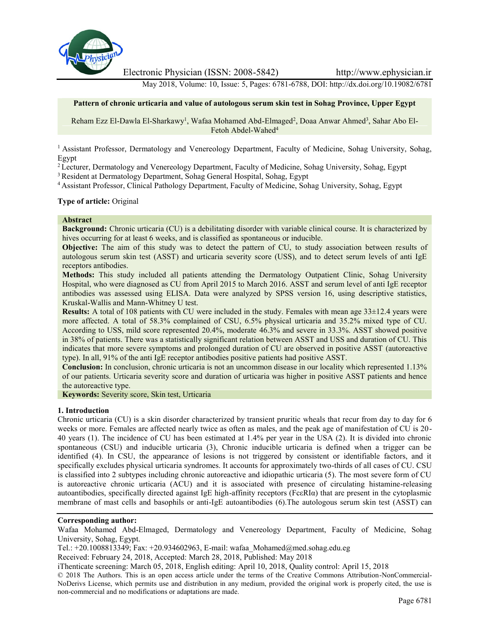

Electronic Physician (ISSN: 2008-5842) http://www.ephysician.ir

May 2018, Volume: 10, Issue: 5, Pages: 6781-6788, DOI: http://dx.doi.org/10.19082/6781

## **Pattern of chronic urticaria and value of autologous serum skin test in Sohag Province, Upper Egypt**

Reham Ezz El-Dawla El-Sharkawy<sup>1</sup>, Wafaa Mohamed Abd-Elmaged<sup>2</sup>, Doaa Anwar Ahmed<sup>3</sup>, Sahar Abo El-Fetoh Abdel-Wahed<sup>4</sup>

<sup>1</sup> Assistant Professor, Dermatology and Venereology Department, Faculty of Medicine, Sohag University, Sohag, Egypt

<sup>2</sup> Lecturer, Dermatology and Venereology Department, Faculty of Medicine, Sohag University, Sohag, Egypt

<sup>3</sup> Resident at Dermatology Department, Sohag General Hospital, Sohag, Egypt

<sup>4</sup> Assistant Professor, Clinical Pathology Department, Faculty of Medicine, Sohag University, Sohag, Egypt

#### **Type of article:** Original

### **Abstract**

**Background:** Chronic urticaria (CU) is a debilitating disorder with variable clinical course. It is characterized by hives occurring for at least 6 weeks, and is classified as spontaneous or inducible.

**Objective:** The aim of this study was to detect the pattern of CU, to study association between results of autologous serum skin test (ASST) and urticaria severity score (USS), and to detect serum levels of anti IgE receptors antibodies.

**Methods:** This study included all patients attending the Dermatology Outpatient Clinic, Sohag University Hospital, who were diagnosed as CU from April 2015 to March 2016. ASST and serum level of anti IgE receptor antibodies was assessed using ELISA. Data were analyzed by SPSS version 16, using descriptive statistics, Kruskal-Wallis and Mann-Whitney U test.

**Results:** A total of 108 patients with CU were included in the study. Females with mean age 33±12.4 years were more affected. A total of 58.3% complained of CSU, 6.5% physical urticaria and 35.2% mixed type of CU. According to USS, mild score represented 20.4%, moderate 46.3% and severe in 33.3%. ASST showed positive in 38% of patients. There was a statistically significant relation between ASST and USS and duration of CU. This indicates that more severe symptoms and prolonged duration of CU are observed in positive ASST (autoreactive type). In all, 91% of the anti IgE receptor antibodies positive patients had positive ASST.

**Conclusion:** In conclusion, chronic urticaria is not an uncommon disease in our locality which represented 1.13% of our patients. Urticaria severity score and duration of urticaria was higher in positive ASST patients and hence the autoreactive type.

**Keywords:** Severity score, Skin test, Urticaria

### **1. Introduction**

Chronic urticaria (CU) is a skin disorder characterized by transient pruritic wheals that recur from day to day for 6 weeks or more. Females are affected nearly twice as often as males, and the peak age of manifestation of CU is 20- 40 years (1). The incidence of CU has been estimated at 1.4% per year in the USA (2). It is divided into chronic spontaneous (CSU) and inducible urticaria (3), Chronic inducible urticaria is defined when a trigger can be identified (4). In CSU, the appearance of lesions is not triggered by consistent or identifiable factors, and it specifically excludes physical urticaria syndromes. It accounts for approximately two-thirds of all cases of CU. CSU is classified into 2 subtypes including chronic autoreactive and idiopathic urticaria (5). The most severe form of CU is autoreactive chronic urticaria (ACU) and it is associated with presence of circulating histamine-releasing autoantibodies, specifically directed against IgE high-affinity receptors (FcεRIα) that are present in the cytoplasmic membrane of mast cells and basophils or anti-IgE autoantibodies (6).The autologous serum skin test (ASST) can

Tel.: +20.1008813349; Fax: +20.934602963, E-mail: wafaa\_Mohamed@med.sohag.edu.eg

Received: February 24, 2018, Accepted: March 28, 2018, Published: May 2018

iThenticate screening: March 05, 2018, English editing: April 10, 2018, Quality control: April 15, 2018

© 2018 The Authors. This is an open access article under the terms of the Creative Commons Attribution-NonCommercial- NoDerivs License, which permits use and distribution in any medium, provided the original work is properly cited, the use is non-commercial and no modifications or adaptations are made.

**Corresponding author:**

Wafaa Mohamed Abd-Elmaged, Dermatology and Venereology Department, Faculty of Medicine, Sohag University, Sohag, Egypt.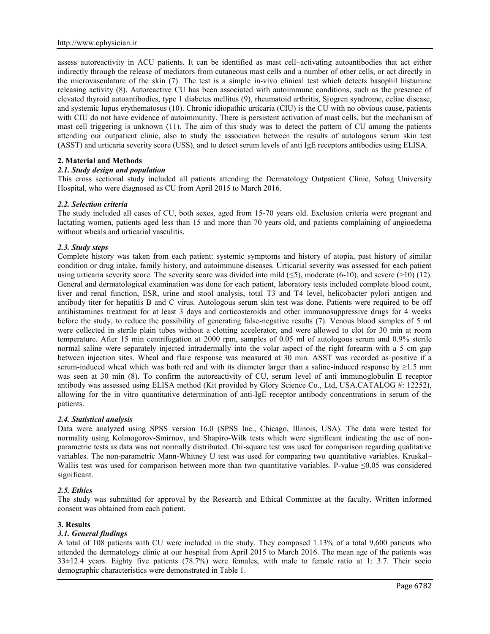assess autoreactivity in ACU patients. It can be identified as mast cell–activating autoantibodies that act either indirectly through the release of mediators from cutaneous mast cells and a number of other cells, or act directly in the microvasculature of the skin (7). The test is a simple in-vivo clinical test which detects basophil histamine releasing activity (8). Autoreactive CU has been associated with autoimmune conditions, such as the presence of elevated thyroid autoantibodies, type 1 diabetes mellitus (9), rheumatoid arthritis, Sjogren syndrome, celiac disease, and systemic lupus erythematosus (10). Chronic idiopathic urticaria (CIU) is the CU with no obvious cause, patients with CIU do not have evidence of autoimmunity. There is persistent activation of mast cells, but the mechanism of mast cell triggering is unknown (11). The aim of this study was to detect the pattern of CU among the patients attending our outpatient clinic, also to study the association between the results of autologous serum skin test (ASST) and urticaria severity score (USS), and to detect serum levels of anti IgE receptors antibodies using ELISA.

## **2. Material and Methods**

## *2.1. Study design and population*

This cross sectional study included all patients attending the Dermatology Outpatient Clinic, Sohag University Hospital, who were diagnosed as CU from April 2015 to March 2016.

### *2.2. Selection criteria*

The study included all cases of CU, both sexes, aged from 15-70 years old. Exclusion criteria were pregnant and lactating women, patients aged less than 15 and more than 70 years old, and patients complaining of angioedema without wheals and urticarial vasculitis.

### *2.3. Study steps*

Complete history was taken from each patient: systemic symptoms and history of atopia, past history of similar condition or drug intake, family history, and autoimmune diseases. Urticarial severity was assessed for each patient using urticaria severity score. The severity score was divided into mild ( $\leq$ 5), moderate (6-10), and severe (>10) (12). General and dermatological examination was done for each patient, laboratory tests included complete blood count, liver and renal function, ESR, urine and stool analysis, total T3 and T4 level, helicobacter pylori antigen and antibody titer for hepatitis B and C virus. Autologous serum skin test was done. Patients were required to be off antihistamines treatment for at least 3 days and corticosteroids and other immunosuppressive drugs for 4 weeks before the study, to reduce the possibility of generating false-negative results (7). Venous blood samples of 5 ml were collected in sterile plain tubes without a clotting accelerator, and were allowed to clot for 30 min at room temperature. After 15 min centrifugation at 2000 rpm, samples of 0.05 ml of autologous serum and 0.9% sterile normal saline were separately injected intradermally into the volar aspect of the right forearm with a 5 cm gap between injection sites. Wheal and flare response was measured at 30 min. ASST was recorded as positive if a serum-induced wheal which was both red and with its diameter larger than a saline-induced response by  $\geq$ 1.5 mm was seen at 30 min (8). To confirm the autoreactivity of CU, serum level of anti immunoglobulin E receptor antibody was assessed using ELISA method (Kit provided by Glory Science Co., Ltd, USA.CATALOG #: 12252), allowing for the in vitro quantitative determination of anti-IgE receptor antibody concentrations in serum of the patients.

### *2.4. Statistical analysis*

Data were analyzed using SPSS version 16.0 (SPSS Inc., Chicago, Illinois, USA). The data were tested for normality using Kolmogorov-Smirnov, and Shapiro-Wilk tests which were significant indicating the use of non parametric tests as data was not normally distributed. Chi-square test was used for comparison regarding qualitative variables. The non-parametric Mann-Whitney U test was used for comparing two quantitative variables. Kruskal– Wallis test was used for comparison between more than two quantitative variables. P-value ≤0.05 was considered significant.

### *2.5. Ethics*

The study was submitted for approval by the Research and Ethical Committee at the faculty. Written informed consent was obtained from each patient.

## **3. Results**

## *3.1. General findings*

A total of 108 patients with CU were included in the study. They composed 1.13% of a total 9,600 patients who attended the dermatology clinic at our hospital from April 2015 to March 2016. The mean age of the patients was 33±12.4 years. Eighty five patients (78.7%) were females, with male to female ratio at 1: 3.7. Their socio demographic characteristics were demonstrated in Table 1.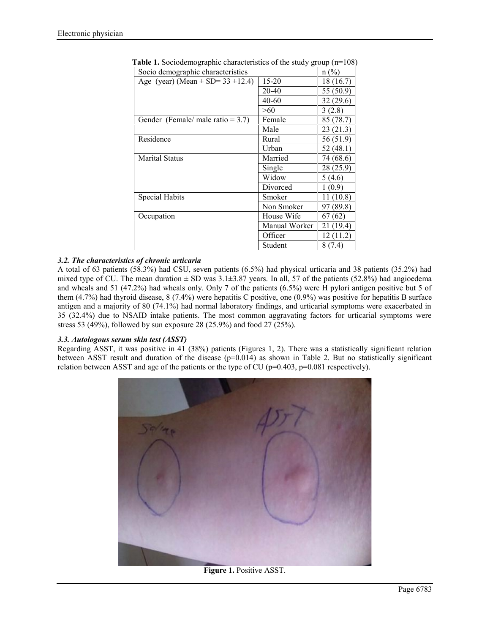| Socio demographic characteristics         |               | $n(^{0}/_{0})$ |
|-------------------------------------------|---------------|----------------|
| Age (year) (Mean $\pm$ SD= 33 $\pm$ 12.4) | 15-20         | 18 (16.7)      |
|                                           | 20-40         | 55 (50.9)      |
|                                           | $40 - 60$     | 32 (29.6)      |
|                                           | >60           | 3(2.8)         |
| Gender (Female/male ratio = $3.7$ )       | Female        | 85 (78.7)      |
|                                           | Male          | 23 (21.3)      |
| Residence                                 | Rural         | 56 (51.9)      |
|                                           | Urban         | 52 (48.1)      |
| <b>Marital Status</b>                     | Married       | 74 (68.6)      |
|                                           | Single        | 28(25.9)       |
|                                           | Widow         | 5(4.6)         |
|                                           | Divorced      | 1(0.9)         |
| <b>Special Habits</b>                     | Smoker        | 11(10.8)       |
|                                           | Non Smoker    | 97 (89.8)      |
| Occupation                                | House Wife    | 67(62)         |
|                                           | Manual Worker | 21 (19.4)      |
|                                           | Officer       | 12(11.2)       |
|                                           | Student       | 8 (7.4)        |

| <b>Table 1.</b> Sociodemographic characteristics of the study group $(n=108)$ |  |  |
|-------------------------------------------------------------------------------|--|--|
|                                                                               |  |  |

# *3.2. The characteristics of chronic urticaria*

A total of 63 patients (58.3%) had CSU, seven patients (6.5%) had physical urticaria and 38 patients (35.2%) had mixed type of CU. The mean duration  $\pm$  SD was 3.1 $\pm$ 3.87 years. In all, 57 of the patients (52.8%) had angioedema and wheals and 51 (47.2%) had wheals only. Only 7 of the patients (6.5%) were H pylori antigen positive but 5 of them (4.7%) had thyroid disease, 8 (7.4%) were hepatitis C positive, one (0.9%) was positive for hepatitis B surface antigen and a majority of 80 (74.1%) had normal laboratory findings, and urticarial symptoms were exacerbated in 35 (32.4%) due to NSAID intake patients. The most common aggravating factors for urticarial symptoms were stress 53 (49%), followed by sun exposure 28 (25.9%) and food 27 (25%).

# *3.3. Autologous serum skin test (ASST)*

Regarding ASST, it was positive in 41 (38%) patients (Figures 1, 2). There was a statistically significant relation between ASST result and duration of the disease  $(p=0.014)$  as shown in Table 2. But no statistically significant relation between ASST and age of the patients or the type of CU ( $p=0.403$ ,  $p=0.081$  respectively).



**Figure 1.** Positive ASST.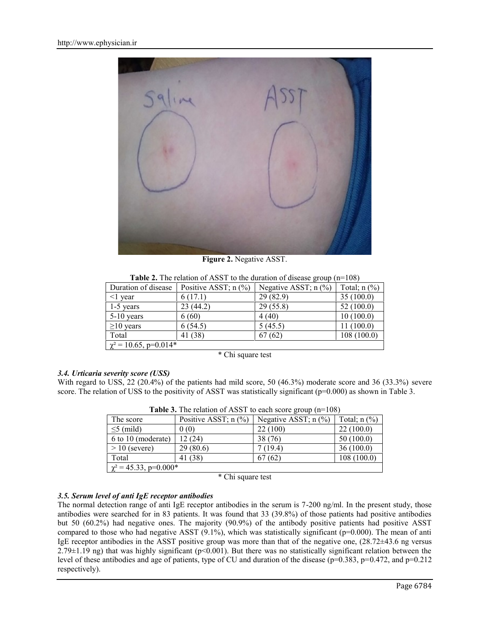

**Figure 2.** Negative ASST.

| Duration of disease        | Positive ASST; $n$ (%) | Negative ASST; $n$ $(\%)$ | Total; $n$ $(\%)$ |
|----------------------------|------------------------|---------------------------|-------------------|
| $\leq$ 1 year              | 6(17.1)                | 29(82.9)                  | 35(100.0)         |
| $1-5$ years                | 23(44.2)               | 29(55.8)                  | 52(100.0)         |
| $5-10$ years               | 6(60)                  | 4(40)                     | 10(100.0)         |
| $\geq$ 10 years            | 6(54.5)                | 5(45.5)                   | 11(100.0)         |
| Total                      | 41 (38)                | 67(62)                    | 108(100.0)        |
| $\chi^2$ = 10.65, p=0.014* |                        |                           |                   |

**Table 2.** The relation of ASST to the duration of disease group (n=108)

\* Chi square test

### *3.4. Urticaria severity score (USS)*

With regard to USS, 22 (20.4%) of the patients had mild score, 50 (46.3%) moderate score and 36 (33.3%) severe score. The relation of USS to the positivity of ASST was statistically significant ( $p=0.000$ ) as shown in Table 3.

| The score                  | Positive ASST; $n$ (%) | Negative ASST; $n$ $%$ ) | Total; $n$ $(\%)$ |
|----------------------------|------------------------|--------------------------|-------------------|
| $\leq$ 5 (mild)            | 0(0)                   | 22(100)                  | 22(100.0)         |
| 6 to 10 (moderate)         | 12 (24)                | 38(76)                   | 50(100.0)         |
| $> 10$ (severe)            | 29(80.6)               | 7 (19.4)                 | 36(100.0)         |
| Total                      | 41 (38)                | 67(62)                   | 108(100.0)        |
| $\chi^2$ = 45.33, p=0.000* |                        |                          |                   |

**Table 3.** The relation of ASST to each score group (n=108)

\* Chi square test

## *3.5. Serum level of anti IgE receptor antibodies*

The normal detection range of anti IgE receptor antibodies in the serum is 7-200 ng/ml. In the present study, those antibodies were searched for in 83 patients. It was found that 33 (39.8%) of those patients had positive antibodies but 50 (60.2%) had negative ones. The majority (90.9%) of the antibody positive patients had positive ASST compared to those who had negative ASST  $(9.1\%)$ , which was statistically significant ( $p=0.000$ ). The mean of anti IgE receptor antibodies in the ASST positive group was more than that of the negative one, (28.72±43.6 ng versus  $2.79\pm1.19$  ng) that was highly significant (p<0.001). But there was no statistically significant relation between the level of these antibodies and age of patients, type of CU and duration of the disease ( $p=0.383$ ,  $p=0.472$ , and  $p=0.212$ respectively).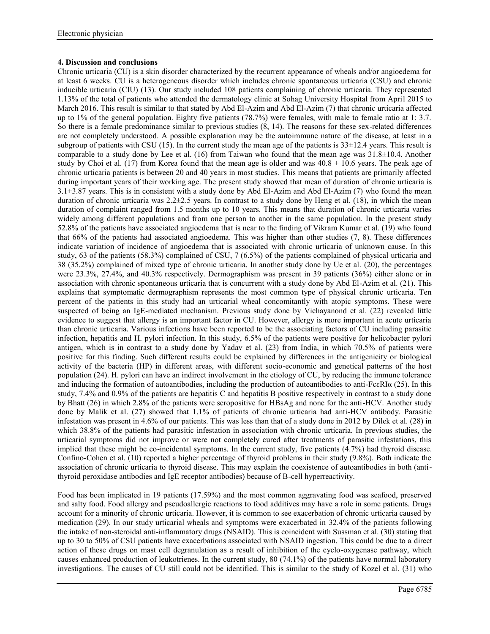## **4. Discussion and conclusions**

Chronic urticaria (CU) is a skin disorder characterized by the recurrent appearance of wheals and/or angioedema for at least 6 weeks. CU is a heterogeneous disorder which includes chronic spontaneous urticaria (CSU) and chronic inducible urticaria (CIU) (13). Our study included 108 patients complaining of chronic urticaria. They represented 1.13% of the total of patients who attended the dermatology clinic at Sohag University Hospital from April 2015 to March 2016. This result is similar to that stated by Abd El-Azim and Abd El-Azim (7) that chronic urticaria affected up to 1% of the general population. Eighty five patients (78.7%) were females, with male to female ratio at 1: 3.7. So there is a female predominance similar to previous studies (8, 14). The reasons for these sex-related differences are not completely understood. A possible explanation may be the autoimmune nature of the disease, at least in a subgroup of patients with CSU (15). In the current study the mean age of the patients is  $33\pm12.4$  years. This result is comparable to a study done by Lee et al. (16) from Taiwan who found that the mean age was  $31.8\pm10.4$ . Another study by Choi et al. (17) from Korea found that the mean age is older and was  $40.8 \pm 10.6$  years. The peak age of chronic urticaria patients is between 20 and 40 years in most studies. This means that patients are primarily affected during important years of their working age. The present study showed that mean of duration of chronic urticaria is 3.1±3.87 years. This is in consistent with a study done by Abd El-Azim and Abd El-Azim (7) who found the mean duration of chronic urticaria was  $2.2\pm 2.5$  years. In contrast to a study done by Heng et al. (18), in which the mean duration of complaint ranged from 1.5 months up to 10 years. This means that duration of chronic urticaria varies widely among different populations and from one person to another in the same population. In the present study 52.8% of the patients have associated angioedema that is near to the finding of Vikram Kumar et al. (19) who found that 66% of the patients had associated angioedema. This was higher than other studies (7, 8). These differences indicate variation of incidence of angioedema that is associated with chronic urticaria of unknown cause. In this study, 63 of the patients (58.3%) complained of CSU, 7 (6.5%) of the patients complained of physical urticaria and 38 (35.2%) complained of mixed type of chronic urticaria. In another study done by Ue et al. (20), the percentages were 23.3%, 27.4%, and 40.3% respectively. Dermographism was present in 39 patients (36%) either alone or in association with chronic spontaneous urticaria that is concurrent with a study done by Abd El-Azim et al. (21). This explains that symptomatic dermographism represents the most common type of physical chronic urticaria. Ten percent of the patients in this study had an urticarial wheal concomitantly with atopic symptoms. These were suspected of being an IgE-mediated mechanism. Previous study done by Vichayanond et al. (22) revealed little evidence to suggest that allergy is an important factor in CU. However, allergy is more important in acute urticaria than chronic urticaria. Various infections have been reported to be the associating factors of CU including parasitic infection, hepatitis and H. pylori infection. In this study, 6.5% of the patients were positive for helicobacter pylori antigen, which is in contrast to a study done by Yadav et al. (23) from India, in which 70.5% of patients were positive for this finding. Such different results could be explained by differences in the antigenicity or biological activity of the bacteria (HP) in different areas, with different socio-economic and genetical patterns of the host population (24). H. pylori can have an indirect involvement in the etiology of CU, by reducing the immune tolerance and inducing the formation of autoantibodies, including the production of autoantibodies to anti-FcεRIα (25). In this study, 7.4% and 0.9% of the patients are hepatitis C and hepatitis B positive respectively in contrast to a study done by Bhatt (26) in which 2.8% of the patients were seropositive for HBsAg and none for the anti-HCV. Another study done by Malik et al. (27) showed that 1.1% of patients of chronic urticaria had anti-HCV antibody. Parasitic infestation was present in 4.6% of our patients. This was less than that of a study done in 2012 by Dilek et al. (28) in which 38.8% of the patients had parasitic infestation in association with chronic urticaria. In previous studies, the urticarial symptoms did not improve or were not completely cured after treatments of parasitic infestations, this implied that these might be co-incidental symptoms. In the current study, five patients (4.7%) had thyroid disease. Confino-Cohen et al. (10) reported a higher percentage of thyroid problems in their study (9.8%). Both indicate the association of chronic urticaria to thyroid disease. This may explain the coexistence of autoantibodies in both (antithyroid peroxidase antibodies and IgE receptor antibodies) because of B-cell hyperreactivity.

Food has been implicated in 19 patients (17.59%) and the most common aggravating food was seafood, preserved and salty food. Food allergy and pseudoallergic reactions to food additives may have a role in some patients. Drugs account for a minority of chronic urticaria. However, it is common to see exacerbation of chronic urticaria caused by medication (29). In our study urticarial wheals and symptoms were exacerbated in 32.4% of the patients following the intake of non-steroidal anti-inflammatory drugs (NSAID). This is coincident with Sussman et al. (30) stating that up to 30 to 50% of CSU patients have exacerbations associated with NSAID ingestion. This could be due to a direct action of these drugs on mast cell degranulation as a result of inhibition of the cyclo-oxygenase pathway, which causes enhanced production of leukotrienes. In the current study, 80 (74.1%) of the patients have normal laboratory investigations. The causes of CU still could not be identified. This is similar to the study of Kozel et al. (31) who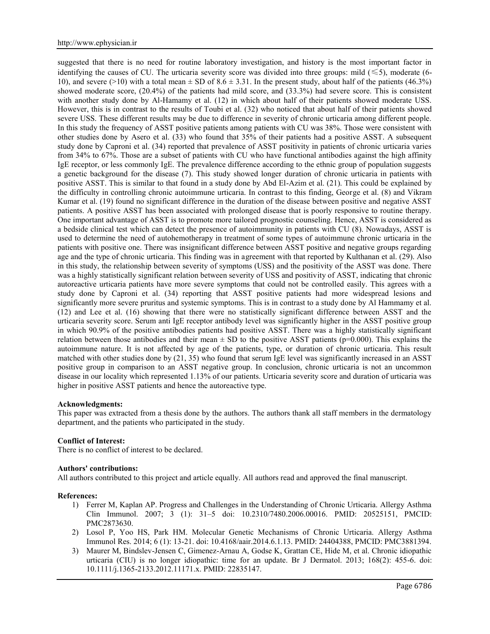suggested that there is no need for routine laboratory investigation, and history is the most important factor in identifying the causes of CU. The urticaria severity score was divided into three groups: mild ( $\leq 5$ ), moderate (6-10), and severe (>10) with a total mean  $\pm$  SD of 8.6  $\pm$  3.31. In the present study, about half of the patients (46.3%) showed moderate score, (20.4%) of the patients had mild score, and (33.3%) had severe score. This is consistent with another study done by Al-Hamamy et al. (12) in which about half of their patients showed moderate USS. However, this is in contrast to the results of Toubi et al. (32) who noticed that about half of their patients showed severe USS. These different results may be due to difference in severity of chronic urticaria among different people. In this study the frequency of ASST positive patients among patients with CU was 38%. Those were consistent with other studies done by Asero et al. (33) who found that 35% of their patients had a positive ASST. A subsequent study done by Caproni et al. (34) reported that prevalence of ASST positivity in patients of chronic urticaria varies from 34% to 67%. Those are a subset of patients with CU who have functional antibodies against the high affinity IgE receptor, or less commonly IgE. The prevalence difference according to the ethnic group of population suggests a genetic background for the disease (7). This study showed longer duration of chronic urticaria in patients with positive ASST. This is similar to that found in a study done by Abd El-Azim et al. (21). This could be explained by the difficulty in controlling chronic autoimmune urticaria. In contrast to this finding, George et al. (8) and Vikram Kumar et al. (19) found no significant difference in the duration of the disease between positive and negative ASST patients. A positive ASST has been associated with prolonged disease that is poorly responsive to routine therapy. One important advantage of ASST is to promote more tailored prognostic counseling. Hence, ASST is considered as a bedside clinical test which can detect the presence of autoimmunity in patients with CU (8). Nowadays, ASST is used to determine the need of autohemotherapy in treatment of some types of autoimmune chronic urticaria in the patients with positive one. There was insignificant difference between ASST positive and negative groups regarding age and the type of chronic urticaria. This finding was in agreement with that reported by Kulthanan et al. (29). Also in this study, the relationship between severity of symptoms (USS) and the positivity of the ASST was done. There was a highly statistically significant relation between severity of USS and positivity of ASST, indicating that chronic autoreactive urticaria patients have more severe symptoms that could not be controlled easily. This agrees with a study done by Caproni et al. (34) reporting that ASST positive patients had more widespread lesions and significantly more severe pruritus and systemic symptoms. This is in contrast to a study done by Al Hammamy et al. (12) and Lee et al. (16) showing that there were no statistically significant difference between ASST and the urticaria severity score. Serum anti IgE receptor antibody level was significantly higher in the ASST positive group in which 90.9% of the positive antibodies patients had positive ASST. There was a highly statistically significant relation between those antibodies and their mean  $\pm$  SD to the positive ASST patients (p=0.000). This explains the autoimmune nature. It is not affected by age of the patients, type, or duration of chronic urticaria. This result matched with other studies done by (21, 35) who found that serum IgE level was significantly increased in an ASST positive group in comparison to an ASST negative group. In conclusion, chronic urticaria is not an uncommon disease in our locality which represented 1.13% of our patients. Urticaria severity score and duration of urticaria was higher in positive ASST patients and hence the autoreactive type.

### **Acknowledgments:**

This paper was extracted from a thesis done by the authors. The authors thank all staff members in the dermatology department, and the patients who participated in the study.

### **Conflict of Interest:**

There is no conflict of interest to be declared.

### **Authors' contributions:**

All authors contributed to this project and article equally. All authors read and approved the final manuscript.

### **References:**

- 1) Ferrer M, Kaplan AP. Progress and Challenges in the Understanding of Chronic Urticaria. Allergy Asthma Clin Immunol. 2007; 3 (1): 31–5 doi: 10.2310/7480.2006.00016. PMID: 20525151, PMCID: PMC2873630.
- 2) Losol P, Yoo HS, Park HM. Molecular Genetic Mechanisms of Chronic Urticaria. Allergy Asthma Immunol Res. 2014; 6 (1): 13-21. doi: 10.4168/aair.2014.6.1.13. PMID: 24404388, PMCID: PMC3881394.
- 3) Maurer M, Bindslev-Jensen C, Gimenez-Arnau A, Godse K, Grattan CE, Hide M, et al. Chronic idiopathic urticaria (CIU) is no longer idiopathic: time for an update. Br J Dermatol. 2013; 168(2): 455-6. doi: 10.1111/j.1365-2133.2012.11171.x. PMID: 22835147.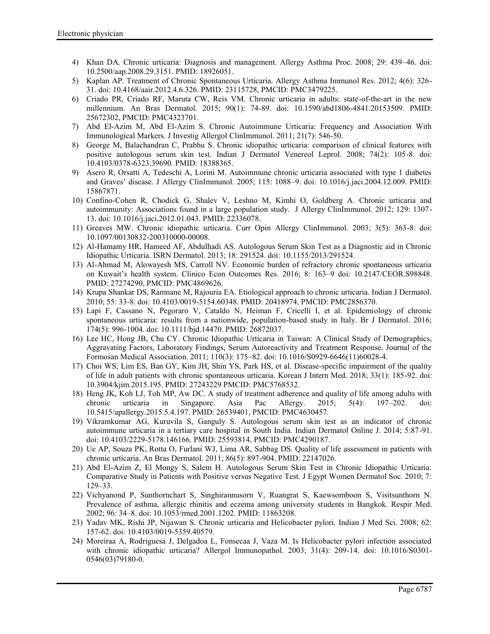- 4) Khan DA. Chronic urticaria: Diagnosis and management. Allergy Asthma Proc. 2008; 29: 439–46. doi: 10.2500/aap.2008.29.3151. PMID: 18926051.
- 5) Kaplan AP. Treatment of Chronic Spontaneous Urticaria. Allergy Asthma Immunol Res. 2012; 4(6): 326- 31. doi: 10.4168/aair.2012.4.6.326. PMID: 23115728, PMCID: PMC3479225.
- 6) Criado PR, Criado RF, Maruta CW, Reis VM. Chronic urticaria in adults: state-of-the-art in the new millennium. An Bras Dermatol. 2015; 90(1): 74-89. doi: 10.1590/abd1806-4841.20153509. PMID: 25672302, PMCID: PMC4323701.
- 7) Abd El-Azim M, Abd El-Azim S. Chronic Autoimmune Urticaria: Frequency and Association With Immunological Markers. J Investig Allergol ClinImmunol. 2011; 21(7): 546-50.
- 8) George M, Balachandran C, Prabhu S. Chronic idiopathic urticaria: comparison of clinical features with positive autologous serum skin test. Indian J Dermatol Venereol Leprol. 2008; 74(2): 105-8. doi: 10.4103/0378-6323.39690. PMID: 18388365.
- 9) Asero R, Orsatti A, Tedeschi A, Lorini M. Autoimmune chronic urticaria associated with type 1 diabetes and Graves' disease. J Allergy ClinImmunol. 2005; 115: 1088–9. doi: 10.1016/j.jaci.2004.12.009. PMID: 15867871.
- 10) Confino-Cohen R, Chodick G, Shalev V, Leshno M, Kimhi O, Goldberg A. Chronic urticaria and autoimmunity: Associations found in a large population study. J Allergy ClinImmunol. 2012; 129: 1307- 13. doi: 10.1016/j.jaci.2012.01.043. PMID: 22336078.
- 11) Greaves MW. Chronic idiopathic urticaria. Curr Opin Allergy ClinImmunol. 2003; 3(5): 363-8. doi: 10.1097/00130832-200310000-00008.
- 12) Al-Hamamy HR, Hameed AF, Abdulhadi AS. Autologous Serum Skin Test as a Diagnostic aid in Chronic Idiopathic Urticaria. ISRN Dermatol. 2013; 18: 291524. doi: 10.1155/2013/291524.
- 13) Al-Ahmad M, Alowayesh MS, Carroll NV. Economic burden of refractory chronic spontaneous urticaria on Kuwait's health system. Clinico Econ Outcomes Res. 2016; 8: 163–9 doi: 10.2147/CEOR.S98848. PMID: 27274290, PMCID: PMC4869626.
- 14) Krupa Shankar DS, Ramnane M, Rajouria EA. Etiological approach to chronic urticaria. Indian J Dermatol. 2010; 55: 33‑8. doi: 10.4103/0019-5154.60348. PMID: 20418974, PMCID: PMC2856370.
- 15) Lapi F, Cassano N, Pegoraro V, Cataldo N, Heiman F, Cricelli I, et al. Epidemiology of chronic spontaneous urticaria: results from a nationwide, population-based study in Italy. Br J Dermatol. 2016; 174(5): 996-1004. doi: 10.1111/bjd.14470. PMID: 26872037.
- 16) Lee HC, Hong JB, Chu CY. Chronic Idiopathic Urticaria in Taiwan: A Clinical Study of Demographics, Aggravating Factors, Laboratory Findings, Serum Autoreactivity and Treatment Response. Journal of the Formosan Medical Association. 2011; 110(3): 175–82. doi: 10.1016/S0929-6646(11)60028-4.
- 17) Choi WS, Lim ES, Ban GY, Kim JH, Shin YS, Park HS, et al. Disease-specific impairment of the quality of life in adult patients with chronic spontaneous urticaria. Korean J Intern Med. 2018; 33(1): 185-92. doi: 10.3904/kjim.2015.195. PMID: 27243229 PMCID: PMC5768532.
- 18) Heng JK, Koh LJ, Toh MP, Aw DC. A study of treatment adherence and quality of life among adults with chronic urticaria in Singapore. Asia Pac Allergy. 2015; 5(4): 197–202. doi: 10.5415/apallergy.2015.5.4.197. PMID: 26539401, PMCID: PMC4630457.
- 19) Vikramkumar AG, Kuruvila S, Ganguly S. Autologous serum skin test as an indicator of chronic autoimmune urticaria in a tertiary care hospital in South India. Indian Dermatol Online J. 2014; 5:87-91. doi: 10.4103/2229-5178.146166. PMID: 25593814, PMCID: PMC4290187.
- 20) Ue AP, Souza PK, Rotta O, Furlani WJ, Lima AR, Sabbag DS. Quality of life assessment in patients with chronic urticaria. An Bras Dermatol. 2011; 86(5): 897-904. PMID: 22147026.
- 21) Abd El-Azim Z, El Mongy S, Salem H. Autologous Serum Skin Test in Chronic Idiopathic Urticaria: Comparative Study in Patients with Positive versus Negative Test. J Egypt Women Dermatol Soc. 2010; 7: 129–33.
- 22) Vichyanond P, Sunthornchart S, Singhirannusorn V, Ruangrat S, Kaewsomboon S, Visitsunthorn N. Prevalence of asthma, allergic rhinitis and eczema among university students in Bangkok. Respir Med. 2002; 96: 34–8. doi: 10.1053/rmed.2001.1202. PMID: 11863208.
- 23) Yadav MK, Rishi JP, Nijawan S. Chronic urticaria and Helicobacter pylori. Indian J Med Sci. 2008; 62: 157-62. doi: 10.4103/0019-5359.40579.
- 24) Moreiraa A, Rodriguesa J, Delgadoa L, Fonsecaa J, Vaza M. Is Helicobacter pylori infection associated with chronic idiopathic urticaria? Allergol Immunopathol. 2003; 31(4): 209-14. doi: 10.1016/S0301- 0546(03)79180-0.